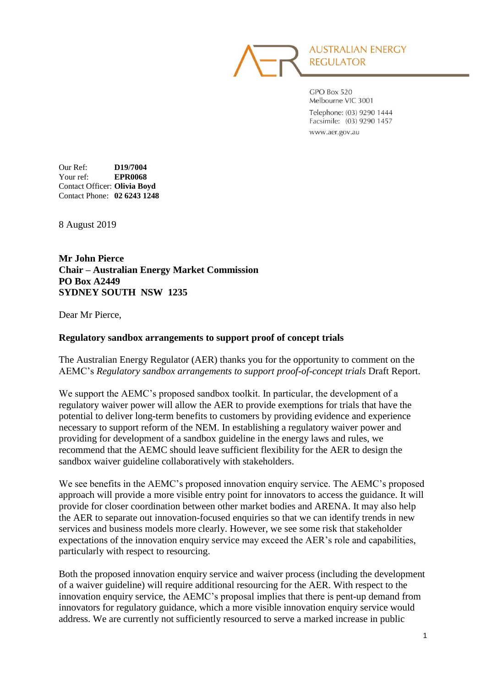

GPO Box 520 Melbourne VIC 3001 Telephone: (03) 9290 1444 Facsimile: (03) 9290 1457 www.aer.gov.au

Our Ref: **D19/7004** Your ref: **EPR0068** Contact Officer: **Olivia Boyd** Contact Phone: **02 6243 1248**

8 August 2019

**Mr John Pierce Chair – Australian Energy Market Commission PO Box A2449 SYDNEY SOUTH NSW 1235**

Dear Mr Pierce,

#### **Regulatory sandbox arrangements to support proof of concept trials**

The Australian Energy Regulator (AER) thanks you for the opportunity to comment on the AEMC's *Regulatory sandbox arrangements to support proof-of-concept trials* Draft Report.

We support the AEMC's proposed sandbox toolkit. In particular, the development of a regulatory waiver power will allow the AER to provide exemptions for trials that have the potential to deliver long-term benefits to customers by providing evidence and experience necessary to support reform of the NEM. In establishing a regulatory waiver power and providing for development of a sandbox guideline in the energy laws and rules, we recommend that the AEMC should leave sufficient flexibility for the AER to design the sandbox waiver guideline collaboratively with stakeholders.

We see benefits in the AEMC's proposed innovation enquiry service. The AEMC's proposed approach will provide a more visible entry point for innovators to access the guidance. It will provide for closer coordination between other market bodies and ARENA. It may also help the AER to separate out innovation-focused enquiries so that we can identify trends in new services and business models more clearly. However, we see some risk that stakeholder expectations of the innovation enquiry service may exceed the AER's role and capabilities, particularly with respect to resourcing.

Both the proposed innovation enquiry service and waiver process (including the development of a waiver guideline) will require additional resourcing for the AER. With respect to the innovation enquiry service, the AEMC's proposal implies that there is pent-up demand from innovators for regulatory guidance, which a more visible innovation enquiry service would address. We are currently not sufficiently resourced to serve a marked increase in public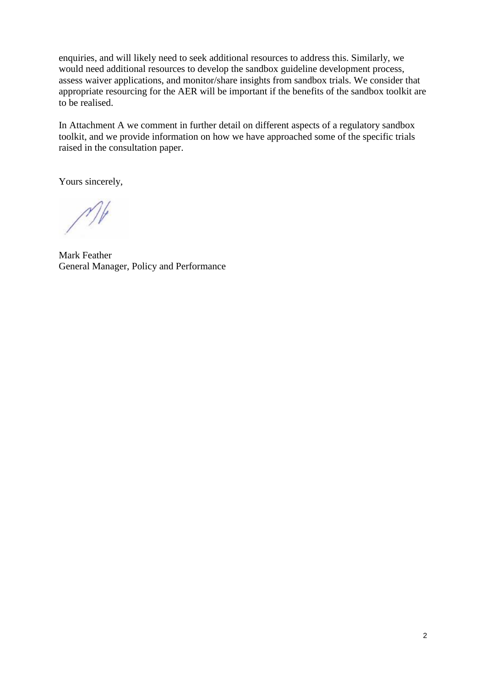enquiries, and will likely need to seek additional resources to address this. Similarly, we would need additional resources to develop the sandbox guideline development process, assess waiver applications, and monitor/share insights from sandbox trials. We consider that appropriate resourcing for the AER will be important if the benefits of the sandbox toolkit are to be realised.

In Attachment A we comment in further detail on different aspects of a regulatory sandbox toolkit, and we provide information on how we have approached some of the specific trials raised in the consultation paper.

Yours sincerely,

Mark Feather General Manager, Policy and Performance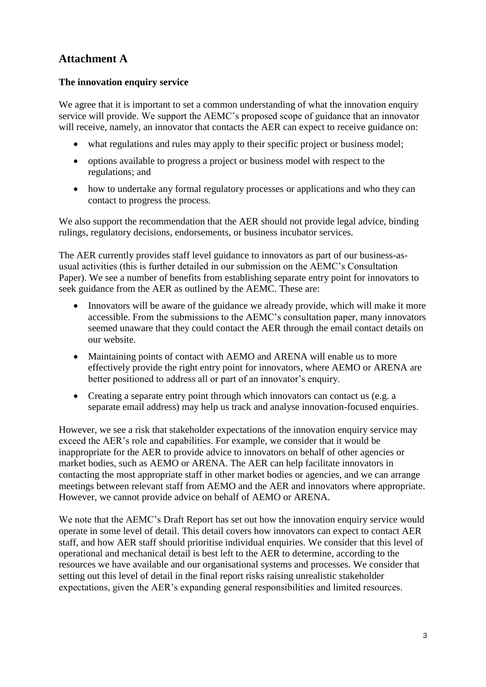# **Attachment A**

# **The innovation enquiry service**

We agree that it is important to set a common understanding of what the innovation enquiry service will provide. We support the AEMC's proposed scope of guidance that an innovator will receive, namely, an innovator that contacts the AER can expect to receive guidance on:

- what regulations and rules may apply to their specific project or business model;
- options available to progress a project or business model with respect to the regulations; and
- how to undertake any formal regulatory processes or applications and who they can contact to progress the process.

We also support the recommendation that the AER should not provide legal advice, binding rulings, regulatory decisions, endorsements, or business incubator services.

The AER currently provides staff level guidance to innovators as part of our business-asusual activities (this is further detailed in our submission on the AEMC's Consultation Paper). We see a number of benefits from establishing separate entry point for innovators to seek guidance from the AER as outlined by the AEMC. These are:

- Innovators will be aware of the guidance we already provide, which will make it more accessible. From the submissions to the AEMC's consultation paper, many innovators seemed unaware that they could contact the AER through the email contact details on our website.
- Maintaining points of contact with AEMO and ARENA will enable us to more effectively provide the right entry point for innovators, where AEMO or ARENA are better positioned to address all or part of an innovator's enquiry.
- Creating a separate entry point through which innovators can contact us (e.g. a separate email address) may help us track and analyse innovation-focused enquiries.

However, we see a risk that stakeholder expectations of the innovation enquiry service may exceed the AER's role and capabilities. For example, we consider that it would be inappropriate for the AER to provide advice to innovators on behalf of other agencies or market bodies, such as AEMO or ARENA. The AER can help facilitate innovators in contacting the most appropriate staff in other market bodies or agencies, and we can arrange meetings between relevant staff from AEMO and the AER and innovators where appropriate. However, we cannot provide advice on behalf of AEMO or ARENA.

We note that the AEMC's Draft Report has set out how the innovation enquiry service would operate in some level of detail. This detail covers how innovators can expect to contact AER staff, and how AER staff should prioritise individual enquiries. We consider that this level of operational and mechanical detail is best left to the AER to determine, according to the resources we have available and our organisational systems and processes. We consider that setting out this level of detail in the final report risks raising unrealistic stakeholder expectations, given the AER's expanding general responsibilities and limited resources.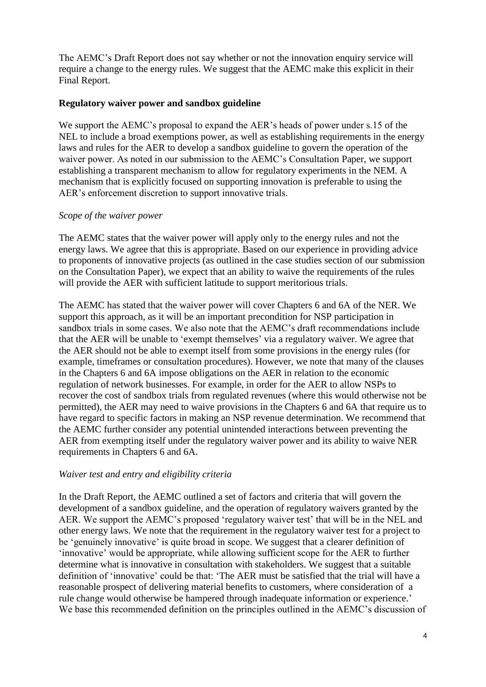The AEMC's Draft Report does not say whether or not the innovation enquiry service will require a change to the energy rules. We suggest that the AEMC make this explicit in their Final Report.

### **Regulatory waiver power and sandbox guideline**

We support the AEMC's proposal to expand the AER's heads of power under s.15 of the NEL to include a broad exemptions power, as well as establishing requirements in the energy laws and rules for the AER to develop a sandbox guideline to govern the operation of the waiver power. As noted in our submission to the AEMC's Consultation Paper, we support establishing a transparent mechanism to allow for regulatory experiments in the NEM. A mechanism that is explicitly focused on supporting innovation is preferable to using the AER's enforcement discretion to support innovative trials.

#### *Scope of the waiver power*

The AEMC states that the waiver power will apply only to the energy rules and not the energy laws. We agree that this is appropriate. Based on our experience in providing advice to proponents of innovative projects (as outlined in the case studies section of our submission on the Consultation Paper), we expect that an ability to waive the requirements of the rules will provide the AER with sufficient latitude to support meritorious trials.

The AEMC has stated that the waiver power will cover Chapters 6 and 6A of the NER. We support this approach, as it will be an important precondition for NSP participation in sandbox trials in some cases. We also note that the AEMC's draft recommendations include that the AER will be unable to 'exempt themselves' via a regulatory waiver. We agree that the AER should not be able to exempt itself from some provisions in the energy rules (for example, timeframes or consultation procedures). However, we note that many of the clauses in the Chapters 6 and 6A impose obligations on the AER in relation to the economic regulation of network businesses. For example, in order for the AER to allow NSPs to recover the cost of sandbox trials from regulated revenues (where this would otherwise not be permitted), the AER may need to waive provisions in the Chapters 6 and 6A that require us to have regard to specific factors in making an NSP revenue determination. We recommend that the AEMC further consider any potential unintended interactions between preventing the AER from exempting itself under the regulatory waiver power and its ability to waive NER requirements in Chapters 6 and 6A.

### *Waiver test and entry and eligibility criteria*

In the Draft Report, the AEMC outlined a set of factors and criteria that will govern the development of a sandbox guideline, and the operation of regulatory waivers granted by the AER. We support the AEMC's proposed 'regulatory waiver test' that will be in the NEL and other energy laws. We note that the requirement in the regulatory waiver test for a project to be 'genuinely innovative' is quite broad in scope. We suggest that a clearer definition of 'innovative' would be appropriate, while allowing sufficient scope for the AER to further determine what is innovative in consultation with stakeholders. We suggest that a suitable definition of 'innovative' could be that: 'The AER must be satisfied that the trial will have a reasonable prospect of delivering material benefits to customers, where consideration of a rule change would otherwise be hampered through inadequate information or experience.' We base this recommended definition on the principles outlined in the AEMC's discussion of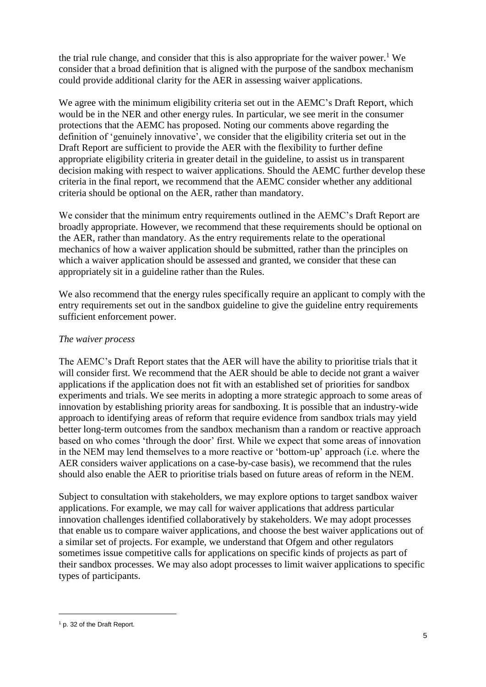the trial rule change, and consider that this is also appropriate for the waiver power.<sup>1</sup> We consider that a broad definition that is aligned with the purpose of the sandbox mechanism could provide additional clarity for the AER in assessing waiver applications.

We agree with the minimum eligibility criteria set out in the AEMC's Draft Report, which would be in the NER and other energy rules. In particular, we see merit in the consumer protections that the AEMC has proposed. Noting our comments above regarding the definition of 'genuinely innovative', we consider that the eligibility criteria set out in the Draft Report are sufficient to provide the AER with the flexibility to further define appropriate eligibility criteria in greater detail in the guideline, to assist us in transparent decision making with respect to waiver applications. Should the AEMC further develop these criteria in the final report, we recommend that the AEMC consider whether any additional criteria should be optional on the AER, rather than mandatory.

We consider that the minimum entry requirements outlined in the AEMC's Draft Report are broadly appropriate. However, we recommend that these requirements should be optional on the AER, rather than mandatory. As the entry requirements relate to the operational mechanics of how a waiver application should be submitted, rather than the principles on which a waiver application should be assessed and granted, we consider that these can appropriately sit in a guideline rather than the Rules.

We also recommend that the energy rules specifically require an applicant to comply with the entry requirements set out in the sandbox guideline to give the guideline entry requirements sufficient enforcement power.

# *The waiver process*

The AEMC's Draft Report states that the AER will have the ability to prioritise trials that it will consider first. We recommend that the AER should be able to decide not grant a waiver applications if the application does not fit with an established set of priorities for sandbox experiments and trials. We see merits in adopting a more strategic approach to some areas of innovation by establishing priority areas for sandboxing. It is possible that an industry-wide approach to identifying areas of reform that require evidence from sandbox trials may yield better long-term outcomes from the sandbox mechanism than a random or reactive approach based on who comes 'through the door' first. While we expect that some areas of innovation in the NEM may lend themselves to a more reactive or 'bottom-up' approach (i.e. where the AER considers waiver applications on a case-by-case basis), we recommend that the rules should also enable the AER to prioritise trials based on future areas of reform in the NEM.

Subject to consultation with stakeholders, we may explore options to target sandbox waiver applications. For example, we may call for waiver applications that address particular innovation challenges identified collaboratively by stakeholders. We may adopt processes that enable us to compare waiver applications, and choose the best waiver applications out of a similar set of projects. For example, we understand that Ofgem and other regulators sometimes issue competitive calls for applications on specific kinds of projects as part of their sandbox processes. We may also adopt processes to limit waiver applications to specific types of participants.

1

<sup>1</sup> p. 32 of the Draft Report.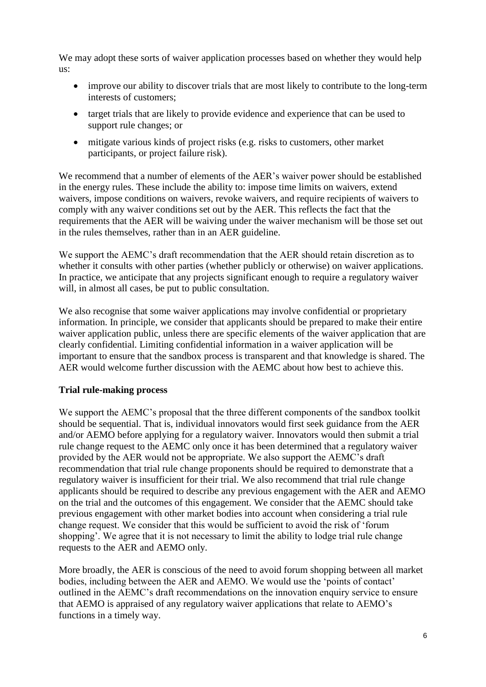We may adopt these sorts of waiver application processes based on whether they would help us:

- improve our ability to discover trials that are most likely to contribute to the long-term interests of customers;
- target trials that are likely to provide evidence and experience that can be used to support rule changes; or
- mitigate various kinds of project risks (e.g. risks to customers, other market participants, or project failure risk).

We recommend that a number of elements of the AER's waiver power should be established in the energy rules. These include the ability to: impose time limits on waivers, extend waivers, impose conditions on waivers, revoke waivers, and require recipients of waivers to comply with any waiver conditions set out by the AER. This reflects the fact that the requirements that the AER will be waiving under the waiver mechanism will be those set out in the rules themselves, rather than in an AER guideline.

We support the AEMC's draft recommendation that the AER should retain discretion as to whether it consults with other parties (whether publicly or otherwise) on waiver applications. In practice, we anticipate that any projects significant enough to require a regulatory waiver will, in almost all cases, be put to public consultation.

We also recognise that some waiver applications may involve confidential or proprietary information. In principle, we consider that applicants should be prepared to make their entire waiver application public, unless there are specific elements of the waiver application that are clearly confidential. Limiting confidential information in a waiver application will be important to ensure that the sandbox process is transparent and that knowledge is shared. The AER would welcome further discussion with the AEMC about how best to achieve this.

# **Trial rule-making process**

We support the AEMC's proposal that the three different components of the sandbox toolkit should be sequential. That is, individual innovators would first seek guidance from the AER and/or AEMO before applying for a regulatory waiver. Innovators would then submit a trial rule change request to the AEMC only once it has been determined that a regulatory waiver provided by the AER would not be appropriate. We also support the AEMC's draft recommendation that trial rule change proponents should be required to demonstrate that a regulatory waiver is insufficient for their trial. We also recommend that trial rule change applicants should be required to describe any previous engagement with the AER and AEMO on the trial and the outcomes of this engagement. We consider that the AEMC should take previous engagement with other market bodies into account when considering a trial rule change request. We consider that this would be sufficient to avoid the risk of 'forum shopping'. We agree that it is not necessary to limit the ability to lodge trial rule change requests to the AER and AEMO only.

More broadly, the AER is conscious of the need to avoid forum shopping between all market bodies, including between the AER and AEMO. We would use the 'points of contact' outlined in the AEMC's draft recommendations on the innovation enquiry service to ensure that AEMO is appraised of any regulatory waiver applications that relate to AEMO's functions in a timely way.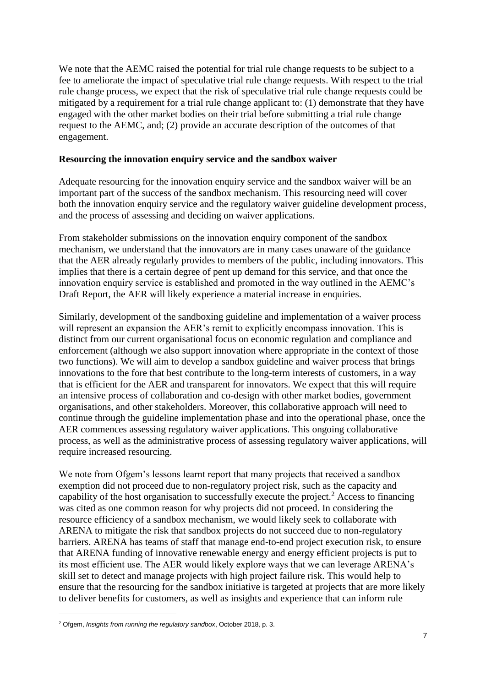We note that the AEMC raised the potential for trial rule change requests to be subject to a fee to ameliorate the impact of speculative trial rule change requests. With respect to the trial rule change process, we expect that the risk of speculative trial rule change requests could be mitigated by a requirement for a trial rule change applicant to: (1) demonstrate that they have engaged with the other market bodies on their trial before submitting a trial rule change request to the AEMC, and; (2) provide an accurate description of the outcomes of that engagement.

# **Resourcing the innovation enquiry service and the sandbox waiver**

Adequate resourcing for the innovation enquiry service and the sandbox waiver will be an important part of the success of the sandbox mechanism. This resourcing need will cover both the innovation enquiry service and the regulatory waiver guideline development process, and the process of assessing and deciding on waiver applications.

From stakeholder submissions on the innovation enquiry component of the sandbox mechanism, we understand that the innovators are in many cases unaware of the guidance that the AER already regularly provides to members of the public, including innovators. This implies that there is a certain degree of pent up demand for this service, and that once the innovation enquiry service is established and promoted in the way outlined in the AEMC's Draft Report, the AER will likely experience a material increase in enquiries.

Similarly, development of the sandboxing guideline and implementation of a waiver process will represent an expansion the AER's remit to explicitly encompass innovation. This is distinct from our current organisational focus on economic regulation and compliance and enforcement (although we also support innovation where appropriate in the context of those two functions). We will aim to develop a sandbox guideline and waiver process that brings innovations to the fore that best contribute to the long-term interests of customers, in a way that is efficient for the AER and transparent for innovators. We expect that this will require an intensive process of collaboration and co-design with other market bodies, government organisations, and other stakeholders. Moreover, this collaborative approach will need to continue through the guideline implementation phase and into the operational phase, once the AER commences assessing regulatory waiver applications. This ongoing collaborative process, as well as the administrative process of assessing regulatory waiver applications, will require increased resourcing.

We note from Ofgem's lessons learnt report that many projects that received a sandbox exemption did not proceed due to non-regulatory project risk, such as the capacity and capability of the host organisation to successfully execute the project.<sup>2</sup> Access to financing was cited as one common reason for why projects did not proceed. In considering the resource efficiency of a sandbox mechanism, we would likely seek to collaborate with ARENA to mitigate the risk that sandbox projects do not succeed due to non-regulatory barriers. ARENA has teams of staff that manage end-to-end project execution risk, to ensure that ARENA funding of innovative renewable energy and energy efficient projects is put to its most efficient use. The AER would likely explore ways that we can leverage ARENA's skill set to detect and manage projects with high project failure risk. This would help to ensure that the resourcing for the sandbox initiative is targeted at projects that are more likely to deliver benefits for customers, as well as insights and experience that can inform rule

1

<sup>2</sup> Ofgem, *Insights from running the regulatory sandbox*, October 2018, p. 3.